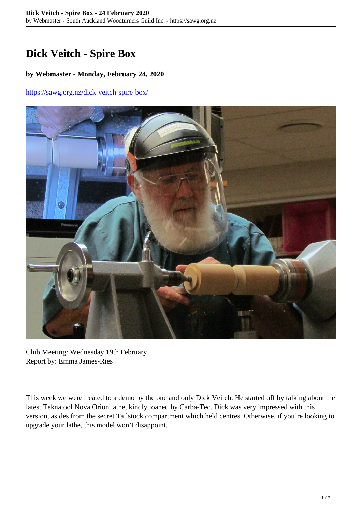## **Dick Veitch - Spire Box**

## **by Webmaster - Monday, February 24, 2020**

## <https://sawg.org.nz/dick-veitch-spire-box/>



Club Meeting: Wednesday 19th February Report by: Emma James-Ries

This week we were treated to a demo by the one and only Dick Veitch. He started off by talking about the latest Teknatool Nova Orion lathe, kindly loaned by Carba-Tec. Dick was very impressed with this version, asides from the secret Tailstock compartment which held centres. Otherwise, if you're looking to upgrade your lathe, this model won't disappoint.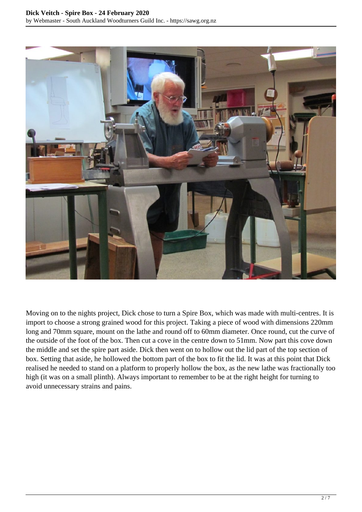

Moving on to the nights project, Dick chose to turn a Spire Box, which was made with multi-centres. It is import to choose a strong grained wood for this project. Taking a piece of wood with dimensions 220mm long and 70mm square, mount on the lathe and round off to 60mm diameter. Once round, cut the curve of the outside of the foot of the box. Then cut a cove in the centre down to 51mm. Now part this cove down the middle and set the spire part aside. Dick then went on to hollow out the lid part of the top section of box. Setting that aside, he hollowed the bottom part of the box to fit the lid. It was at this point that Dick realised he needed to stand on a platform to properly hollow the box, as the new lathe was fractionally too high (it was on a small plinth). Always important to remember to be at the right height for turning to avoid unnecessary strains and pains.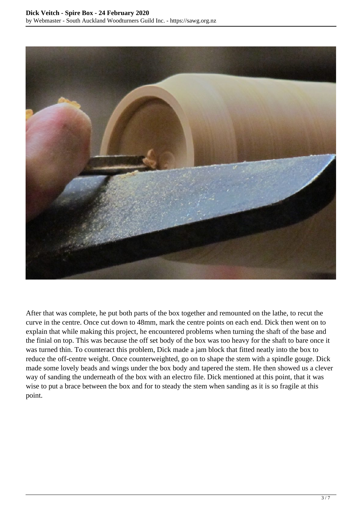

After that was complete, he put both parts of the box together and remounted on the lathe, to recut the curve in the centre. Once cut down to 48mm, mark the centre points on each end. Dick then went on to explain that while making this project, he encountered problems when turning the shaft of the base and the finial on top. This was because the off set body of the box was too heavy for the shaft to bare once it was turned thin. To counteract this problem, Dick made a jam block that fitted neatly into the box to reduce the off-centre weight. Once counterweighted, go on to shape the stem with a spindle gouge. Dick made some lovely beads and wings under the box body and tapered the stem. He then showed us a clever way of sanding the underneath of the box with an electro file. Dick mentioned at this point, that it was wise to put a brace between the box and for to steady the stem when sanding as it is so fragile at this point.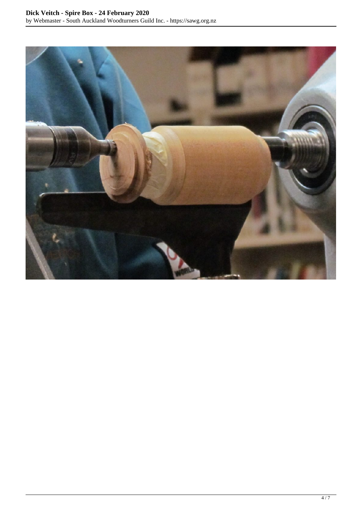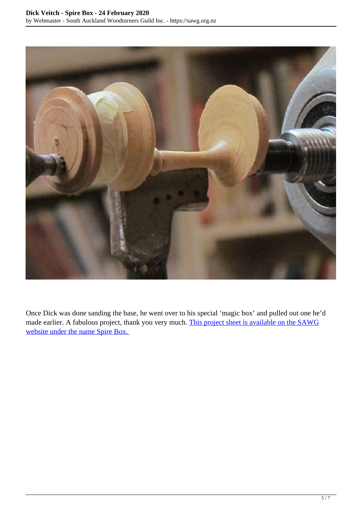

Once Dick was done sanding the base, he went over to his special 'magic box' and pulled out one he'd made earlier. A fabulous project, thank you very much. This project sheet is available on the SAWG website under the name Spire Box.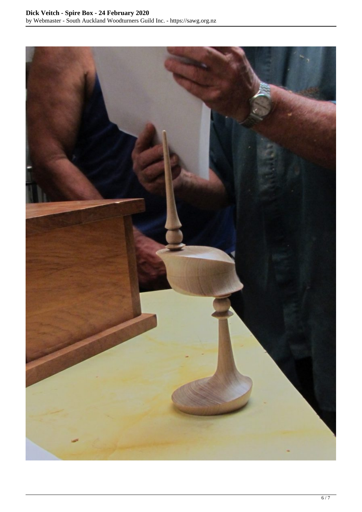